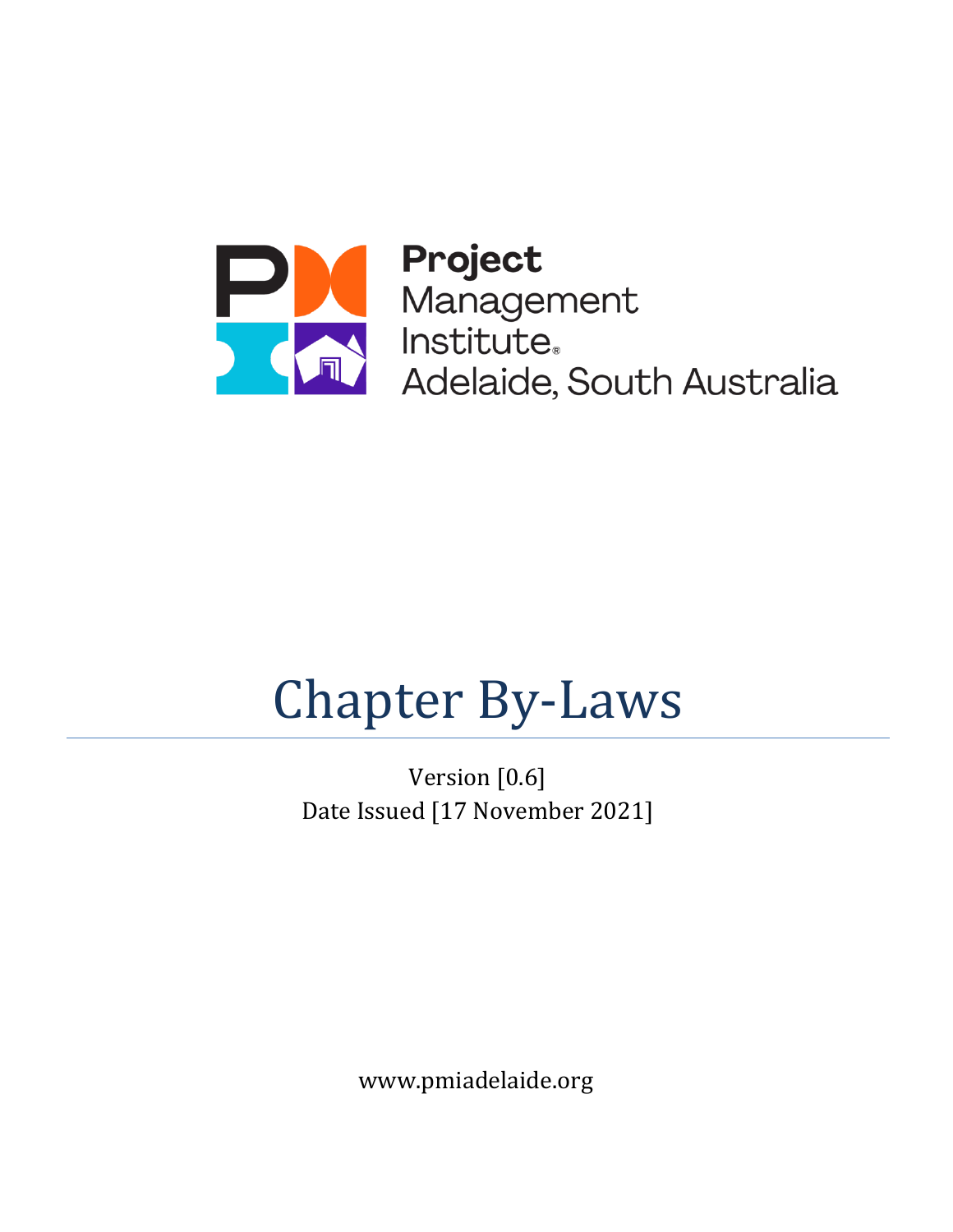

**Participal Project**<br>Management<br>Institute,<br>Adelaide, South Australia

# $$ Chapter By-Laws

Version [0.6] Date Issued [17 November 2021]

www.pmiadelaide.org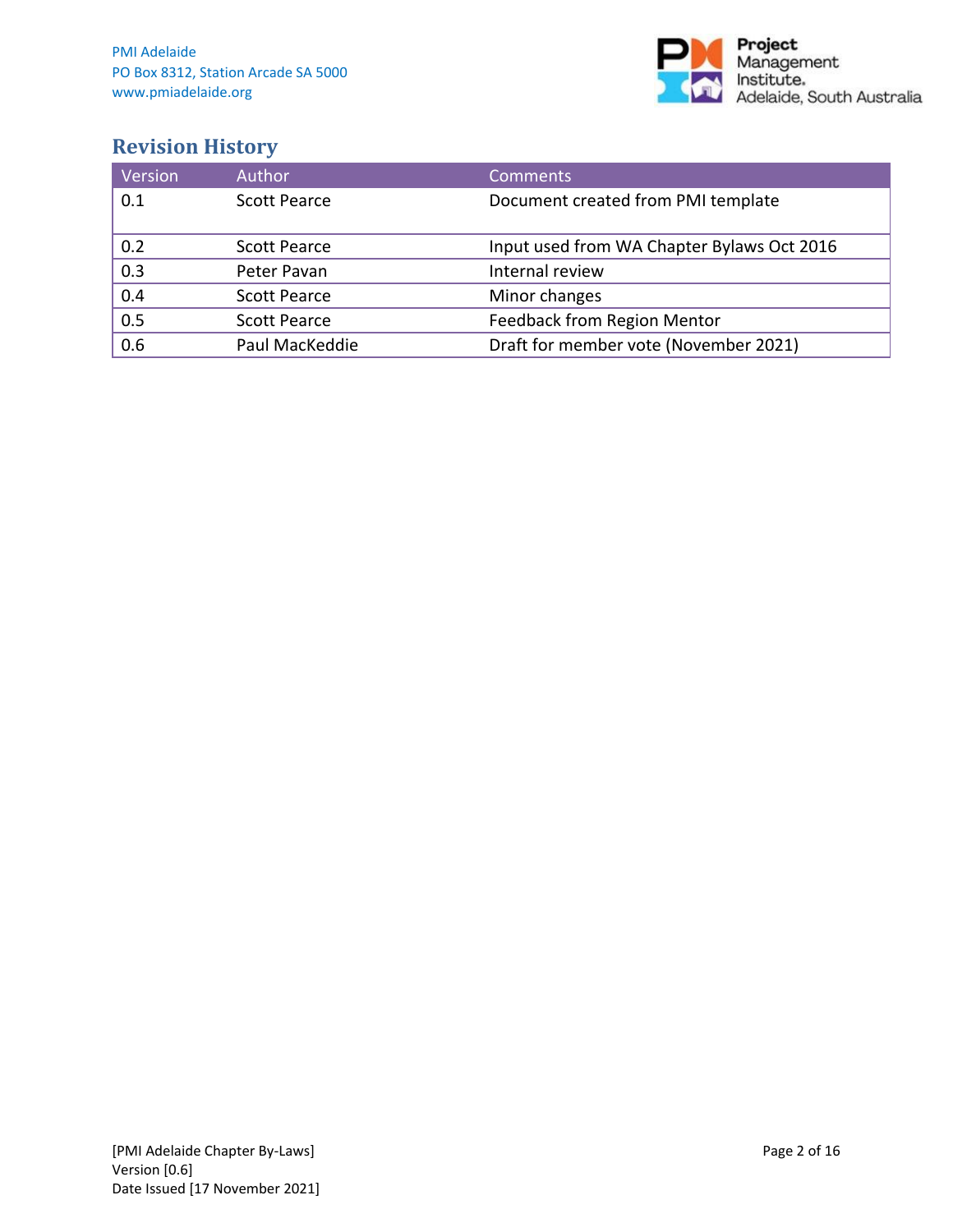

## **Revision History**

| Version          | <b>Author</b>       | <b>Comments</b>                            |
|------------------|---------------------|--------------------------------------------|
| 0.1              | Scott Pearce        | Document created from PMI template         |
|                  |                     |                                            |
| 0.2              | <b>Scott Pearce</b> | Input used from WA Chapter Bylaws Oct 2016 |
| $\overline{0.3}$ | Peter Pavan         | Internal review                            |
| 0.4              | <b>Scott Pearce</b> | Minor changes                              |
| 0.5              | <b>Scott Pearce</b> | Feedback from Region Mentor                |
| 0.6              | Paul MacKeddie      | Draft for member vote (November 2021)      |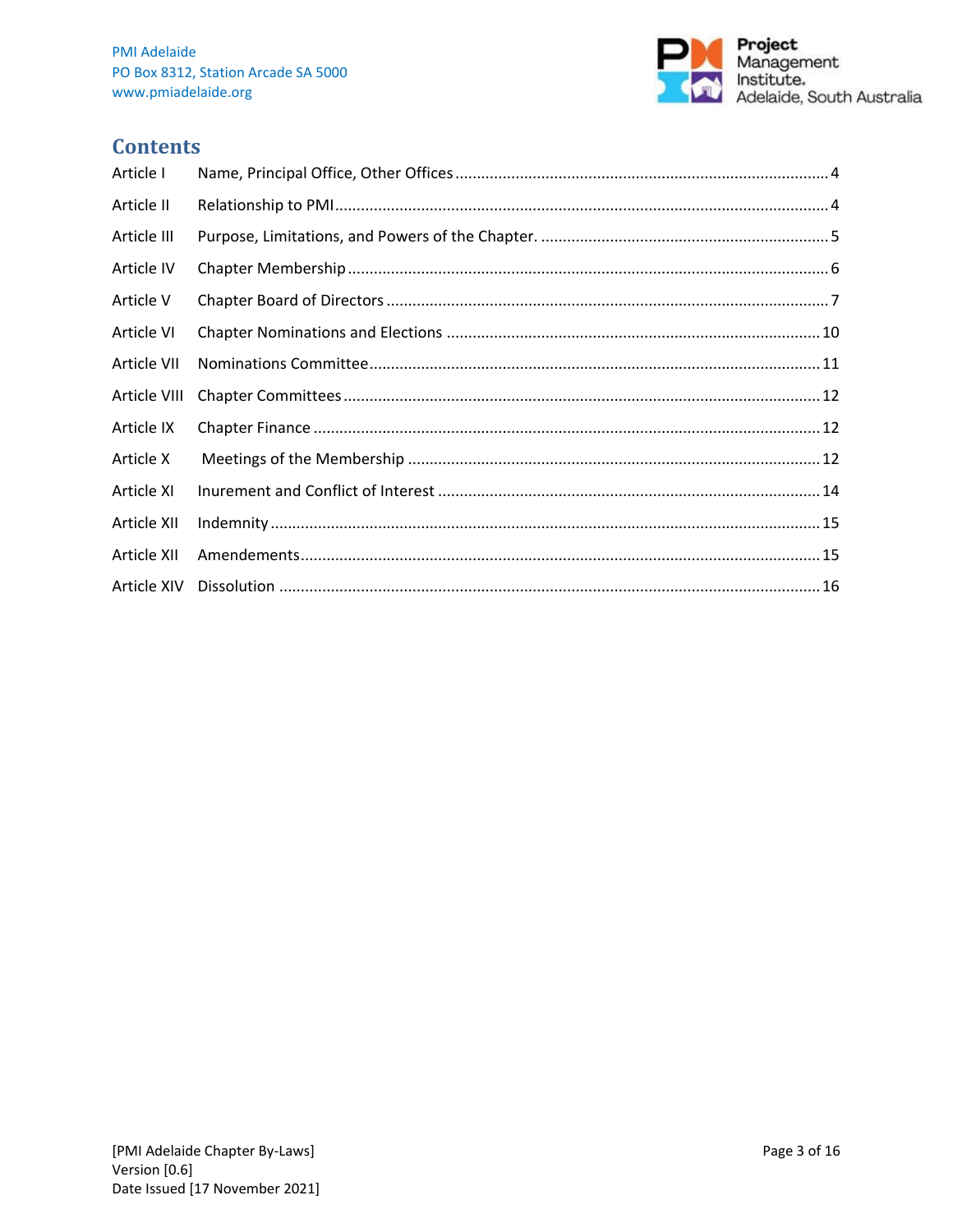

## **Contents**

| Article I    |  |
|--------------|--|
| Article II   |  |
| Article III  |  |
| Article IV   |  |
| Article V    |  |
| Article VI   |  |
| Article VII  |  |
| Article VIII |  |
| Article IX   |  |
| Article X    |  |
| Article XI   |  |
| Article XII  |  |
| Article XII  |  |
| Article XIV  |  |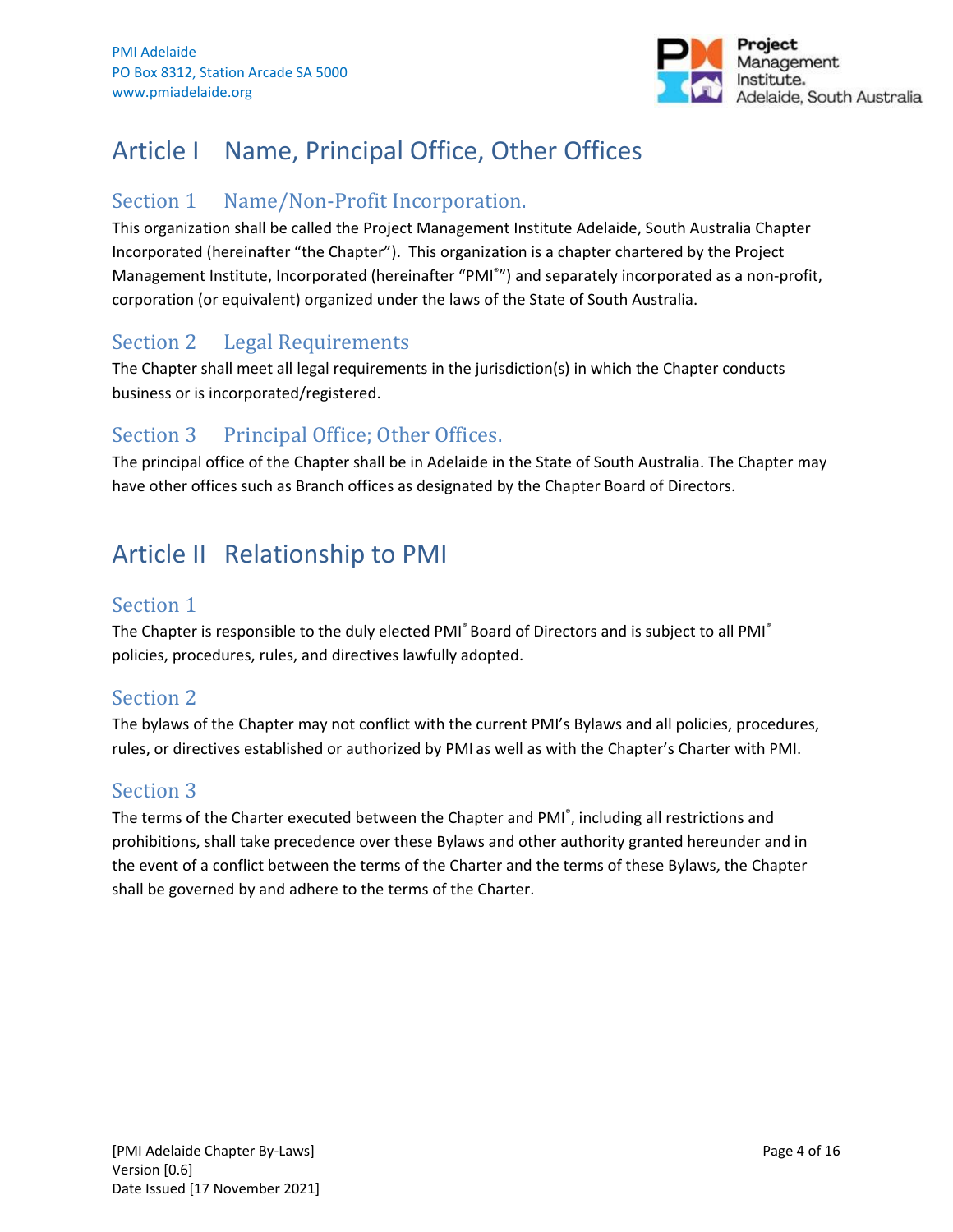

## <span id="page-3-0"></span>Article I Name, Principal Office, Other Offices

## Section 1 Name/Non-Profit Incorporation.

This organization shall be called the Project Management Institute Adelaide, South Australia Chapter Incorporated (hereinafter "the Chapter"). This organization is a chapter chartered by the Project Management Institute, Incorporated (hereinafter "PMI<sup>®</sup>") and separately incorporated as a non-profit, corporation (or equivalent) organized under the laws of the State of South Australia.

## Section 2 Legal Requirements

The Chapter shall meet all legal requirements in the jurisdiction(s) in which the Chapter conducts business or is incorporated/registered.

## Section 3 Principal Office; Other Offices.

The principal office of the Chapter shall be in Adelaide in the State of South Australia. The Chapter may have other offices such as Branch offices as designated by the Chapter Board of Directors.

## <span id="page-3-1"></span>Article II Relationship to PMI

## Section 1

The Chapter is responsible to the duly elected PMI<sup>®</sup> Board of Directors and is subject to all PMI<sup>®</sup> policies, procedures, rules, and directives lawfully adopted.

## Section 2

The bylaws of the Chapter may not conflict with the current PMI's Bylaws and all policies, procedures, rules, or directives established or authorized by PMI as well as with the Chapter's Charter with PMI.

## Section 3

The terms of the Charter executed between the Chapter and PMI<sup>®</sup>, including all restrictions and prohibitions, shall take precedence over these Bylaws and other authority granted hereunder and in the event of a conflict between the terms of the Charter and the terms of these Bylaws, the Chapter shall be governed by and adhere to the terms of the Charter.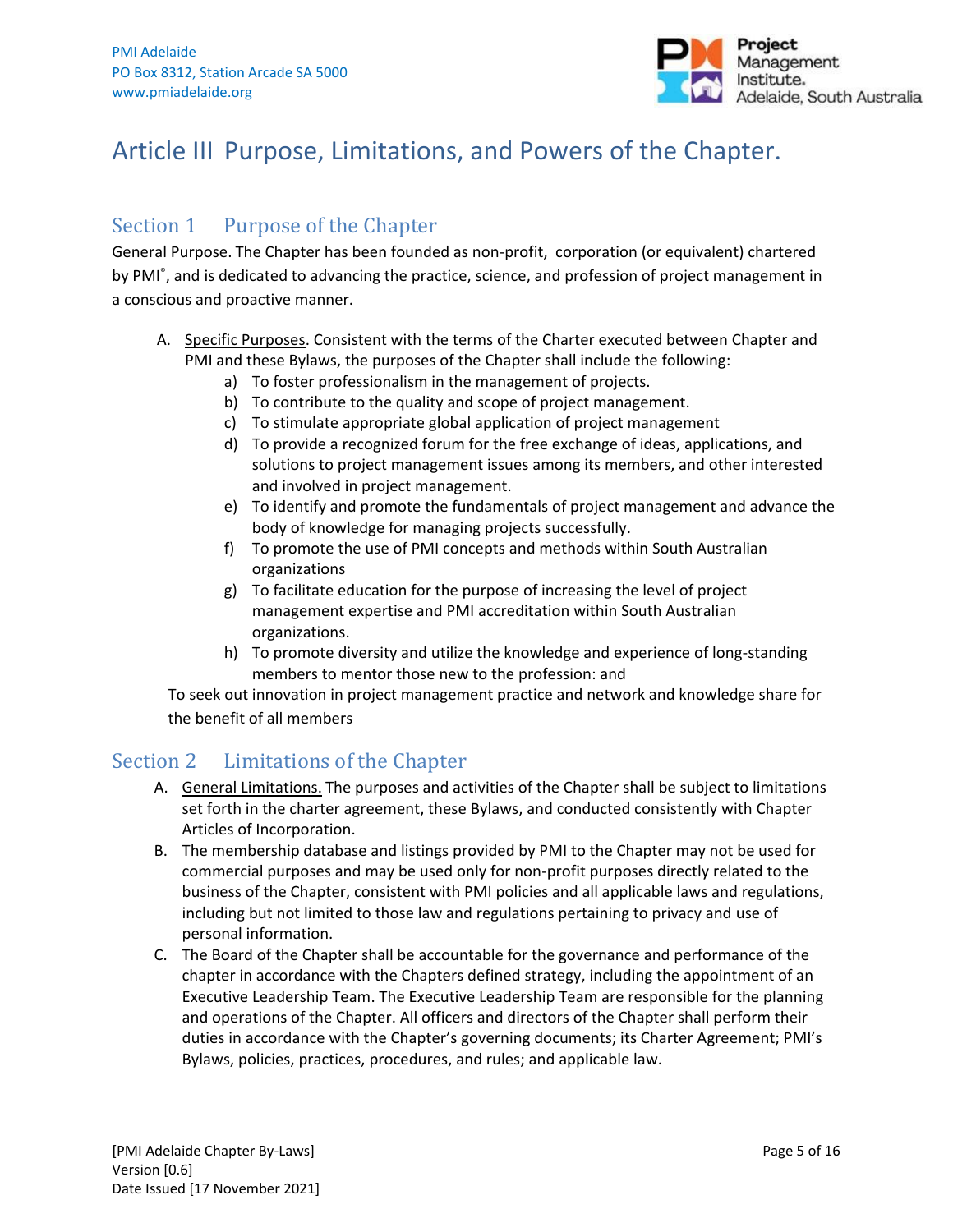

## <span id="page-4-0"></span>Article III Purpose, Limitations, and Powers of the Chapter.

## Section 1 Purpose of the Chapter

General Purpose. The Chapter has been founded as non-profit, corporation (or equivalent) chartered by PMI<sup>®</sup>, and is dedicated to advancing the practice, science, and profession of project management in a conscious and proactive manner.

- A. Specific Purposes. Consistent with the terms of the Charter executed between Chapter and PMI and these Bylaws, the purposes of the Chapter shall include the following:
	- a) To foster professionalism in the management of projects.
	- b) To contribute to the quality and scope of project management.
	- c) To stimulate appropriate global application of project management
	- d) To provide a recognized forum for the free exchange of ideas, applications, and solutions to project management issues among its members, and other interested and involved in project management.
	- e) To identify and promote the fundamentals of project management and advance the body of knowledge for managing projects successfully.
	- f) To promote the use of PMI concepts and methods within South Australian organizations
	- g) To facilitate education for the purpose of increasing the level of project management expertise and PMI accreditation within South Australian organizations.
	- h) To promote diversity and utilize the knowledge and experience of long-standing members to mentor those new to the profession: and

To seek out innovation in project management practice and network and knowledge share for the benefit of all members

## Section 2 Limitations of the Chapter

- A. General Limitations. The purposes and activities of the Chapter shall be subject to limitations set forth in the charter agreement, these Bylaws, and conducted consistently with Chapter Articles of Incorporation.
- B. The membership database and listings provided by PMI to the Chapter may not be used for commercial purposes and may be used only for non-profit purposes directly related to the business of the Chapter, consistent with PMI policies and all applicable laws and regulations, including but not limited to those law and regulations pertaining to privacy and use of personal information.
- C. The Board of the Chapter shall be accountable for the governance and performance of the chapter in accordance with the Chapters defined strategy, including the appointment of an Executive Leadership Team. The Executive Leadership Team are responsible for the planning and operations of the Chapter. All officers and directors of the Chapter shall perform their duties in accordance with the Chapter's governing documents; its Charter Agreement; PMI's Bylaws, policies, practices, procedures, and rules; and applicable law.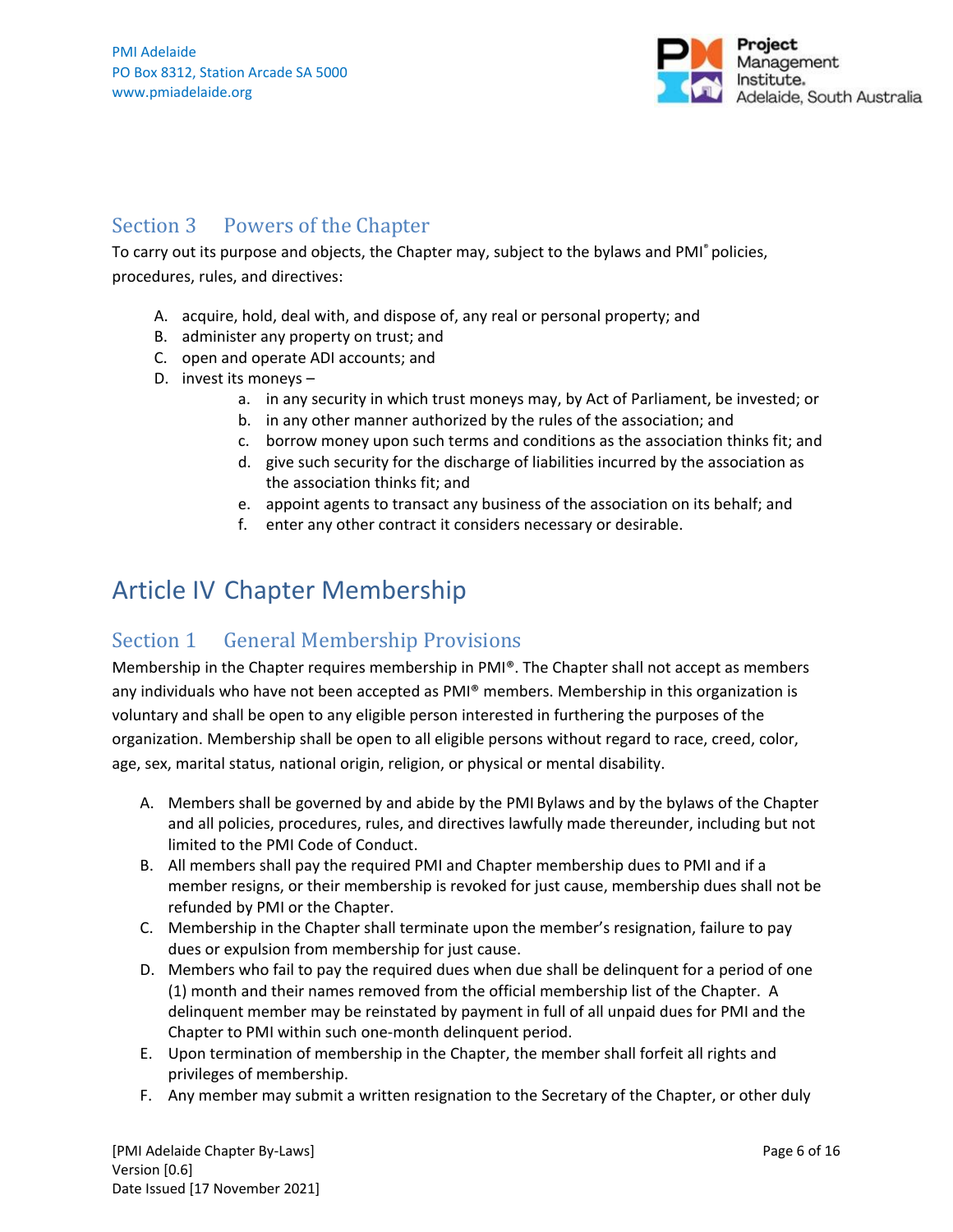

## Section 3 Powers of the Chapter

To carry out its purpose and objects, the Chapter may, subject to the bylaws and PMI® policies, procedures, rules, and directives:

- A. acquire, hold, deal with, and dispose of, any real or personal property; and
- B. administer any property on trust; and
- C. open and operate ADI accounts; and
- D. invest its moneys
	- a. in any security in which trust moneys may, by Act of Parliament, be invested; or
	- b. in any other manner authorized by the rules of the association; and
	- c. borrow money upon such terms and conditions as the association thinks fit; and
	- d. give such security for the discharge of liabilities incurred by the association as the association thinks fit; and
	- e. appoint agents to transact any business of the association on its behalf; and
	- f. enter any other contract it considers necessary or desirable.

## <span id="page-5-0"></span>Article IV Chapter Membership

## Section 1 General Membership Provisions

Membership in the Chapter requires membership in PMI®. The Chapter shall not accept as members any individuals who have not been accepted as PMI® members. Membership in this organization is voluntary and shall be open to any eligible person interested in furthering the purposes of the organization. Membership shall be open to all eligible persons without regard to race, creed, color, age, sex, marital status, national origin, religion, or physical or mental disability.

- A. Members shall be governed by and abide by the PMI Bylaws and by the bylaws of the Chapter and all policies, procedures, rules, and directives lawfully made thereunder, including but not limited to the PMI Code of Conduct.
- B. All members shall pay the required PMI and Chapter membership dues to PMI and if a member resigns, or their membership is revoked for just cause, membership dues shall not be refunded by PMI or the Chapter.
- C. Membership in the Chapter shall terminate upon the member's resignation, failure to pay dues or expulsion from membership for just cause.
- D. Members who fail to pay the required dues when due shall be delinquent for a period of one (1) month and their names removed from the official membership list of the Chapter. A delinquent member may be reinstated by payment in full of all unpaid dues for PMI and the Chapter to PMI within such one-month delinquent period.
- E. Upon termination of membership in the Chapter, the member shall forfeit all rights and privileges of membership.
- F. Any member may submit a written resignation to the Secretary of the Chapter, or other duly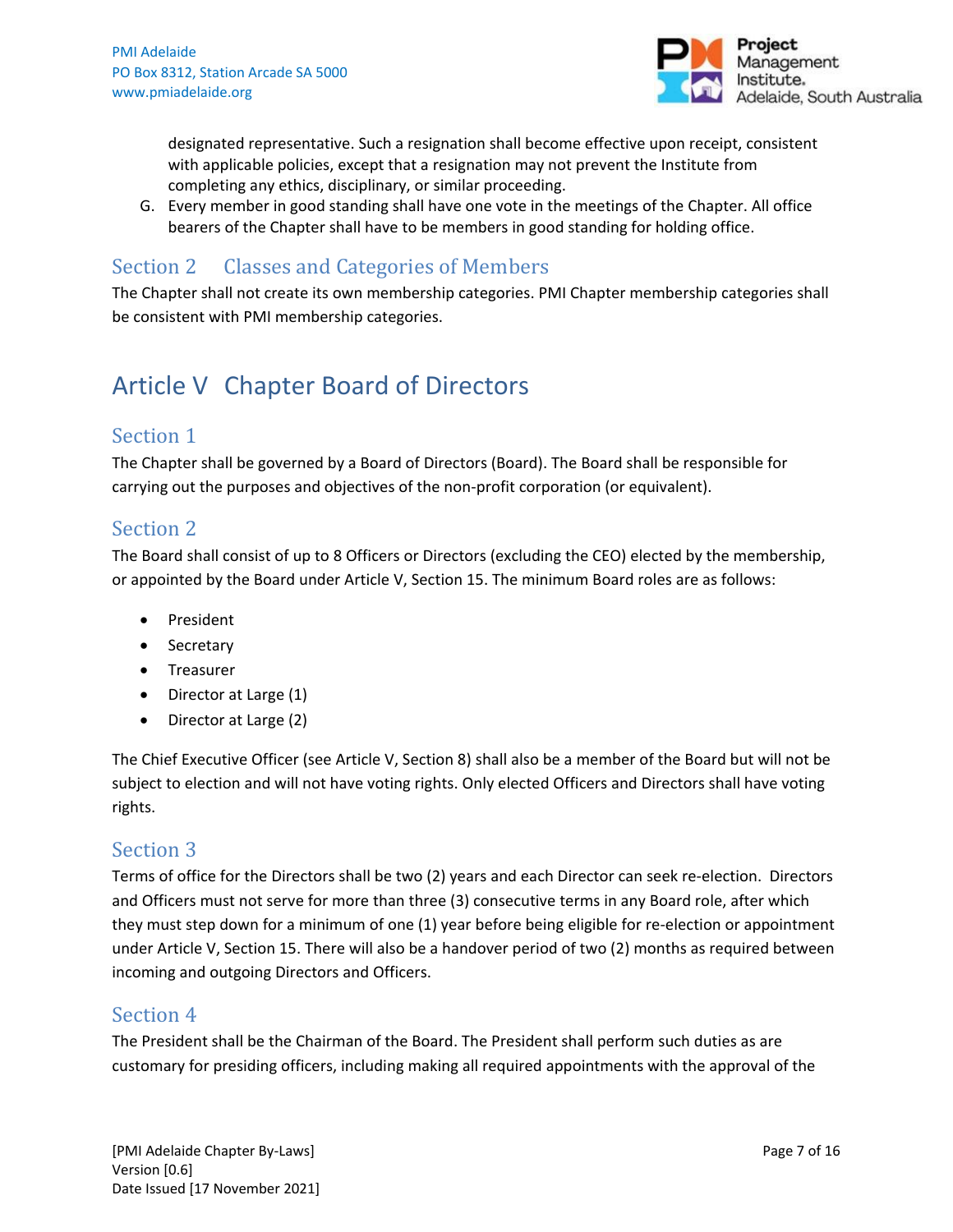

designated representative. Such a resignation shall become effective upon receipt, consistent with applicable policies, except that a resignation may not prevent the Institute from completing any ethics, disciplinary, or similar proceeding.

G. Every member in good standing shall have one vote in the meetings of the Chapter. All office bearers of the Chapter shall have to be members in good standing for holding office.

## Section 2 Classes and Categories of Members

The Chapter shall not create its own membership categories. PMI Chapter membership categories shall be consistent with PMI membership categories.

## <span id="page-6-0"></span>Article V Chapter Board of Directors

## Section 1

The Chapter shall be governed by a Board of Directors (Board). The Board shall be responsible for carrying out the purposes and objectives of the non-profit corporation (or equivalent).

## Section 2

The Board shall consist of up to 8 Officers or Directors (excluding the CEO) elected by the membership, or appointed by the Board under Article V, Section 15. The minimum Board roles are as follows:

- President
- Secretary
- Treasurer
- Director at Large (1)
- Director at Large (2)

The Chief Executive Officer (see Article V, Section 8) shall also be a member of the Board but will not be subject to election and will not have voting rights. Only elected Officers and Directors shall have voting rights.

## Section 3

Terms of office for the Directors shall be two (2) years and each Director can seek re-election. Directors and Officers must not serve for more than three (3) consecutive terms in any Board role, after which they must step down for a minimum of one (1) year before being eligible for re-election or appointment under Article V, Section 15. There will also be a handover period of two (2) months as required between incoming and outgoing Directors and Officers.

## Section 4

The President shall be the Chairman of the Board. The President shall perform such duties as are customary for presiding officers, including making all required appointments with the approval of the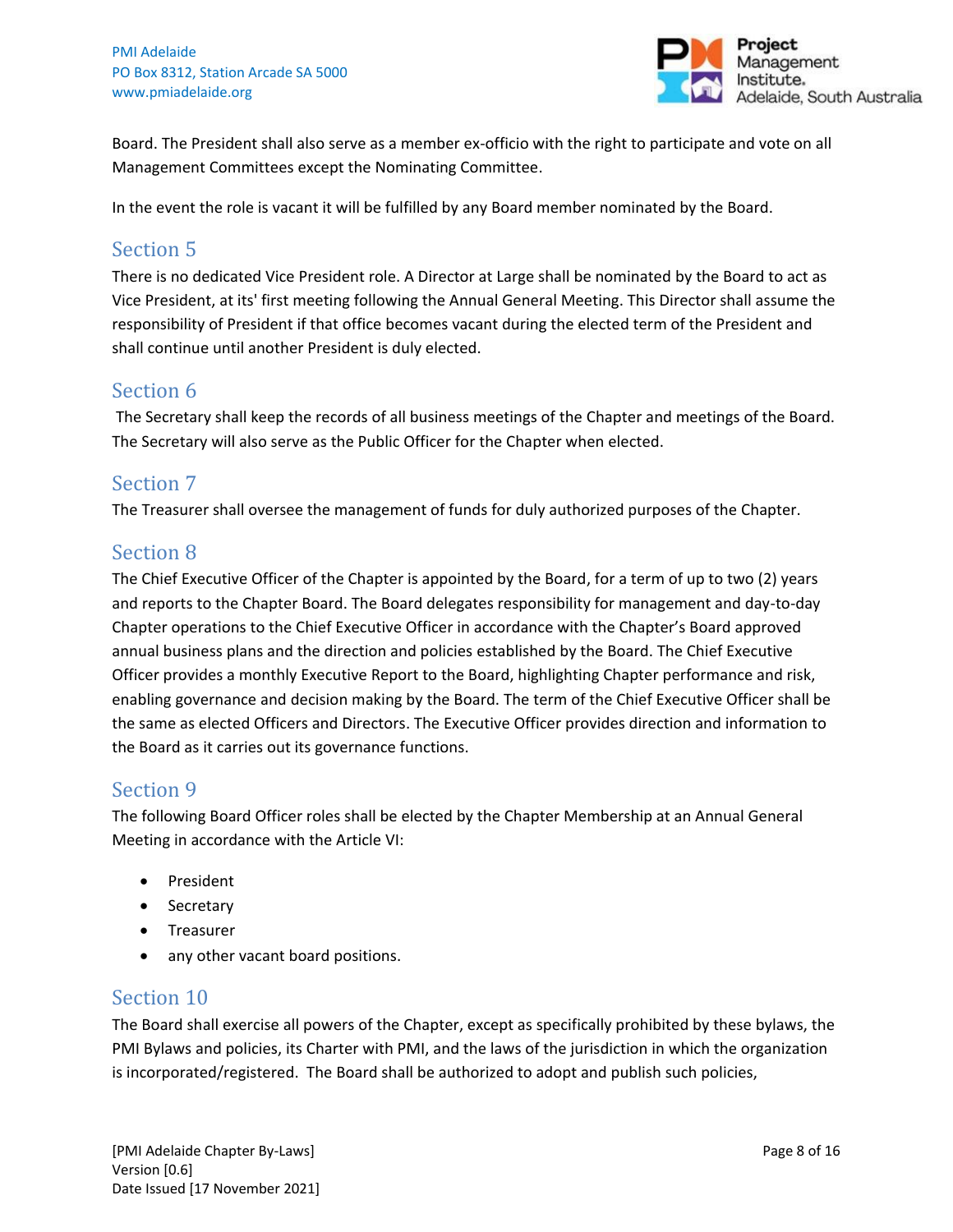

Board. The President shall also serve as a member ex-officio with the right to participate and vote on all Management Committees except the Nominating Committee.

In the event the role is vacant it will be fulfilled by any Board member nominated by the Board.

## Section 5

There is no dedicated Vice President role. A Director at Large shall be nominated by the Board to act as Vice President, at its' first meeting following the Annual General Meeting. This Director shall assume the responsibility of President if that office becomes vacant during the elected term of the President and shall continue until another President is duly elected.

## Section 6

The Secretary shall keep the records of all business meetings of the Chapter and meetings of the Board. The Secretary will also serve as the Public Officer for the Chapter when elected.

## Section 7

The Treasurer shall oversee the management of funds for duly authorized purposes of the Chapter.

## Section 8

The Chief Executive Officer of the Chapter is appointed by the Board, for a term of up to two (2) years and reports to the Chapter Board. The Board delegates responsibility for management and day-to-day Chapter operations to the Chief Executive Officer in accordance with the Chapter's Board approved annual business plans and the direction and policies established by the Board. The Chief Executive Officer provides a monthly Executive Report to the Board, highlighting Chapter performance and risk, enabling governance and decision making by the Board. The term of the Chief Executive Officer shall be the same as elected Officers and Directors. The Executive Officer provides direction and information to the Board as it carries out its governance functions.

## Section 9

The following Board Officer roles shall be elected by the Chapter Membership at an Annual General Meeting in accordance with the Article VI:

- President
- Secretary
- Treasurer
- any other vacant board positions.

## Section 10

The Board shall exercise all powers of the Chapter, except as specifically prohibited by these bylaws, the PMI Bylaws and policies, its Charter with PMI, and the laws of the jurisdiction in which the organization is incorporated/registered. The Board shall be authorized to adopt and publish such policies,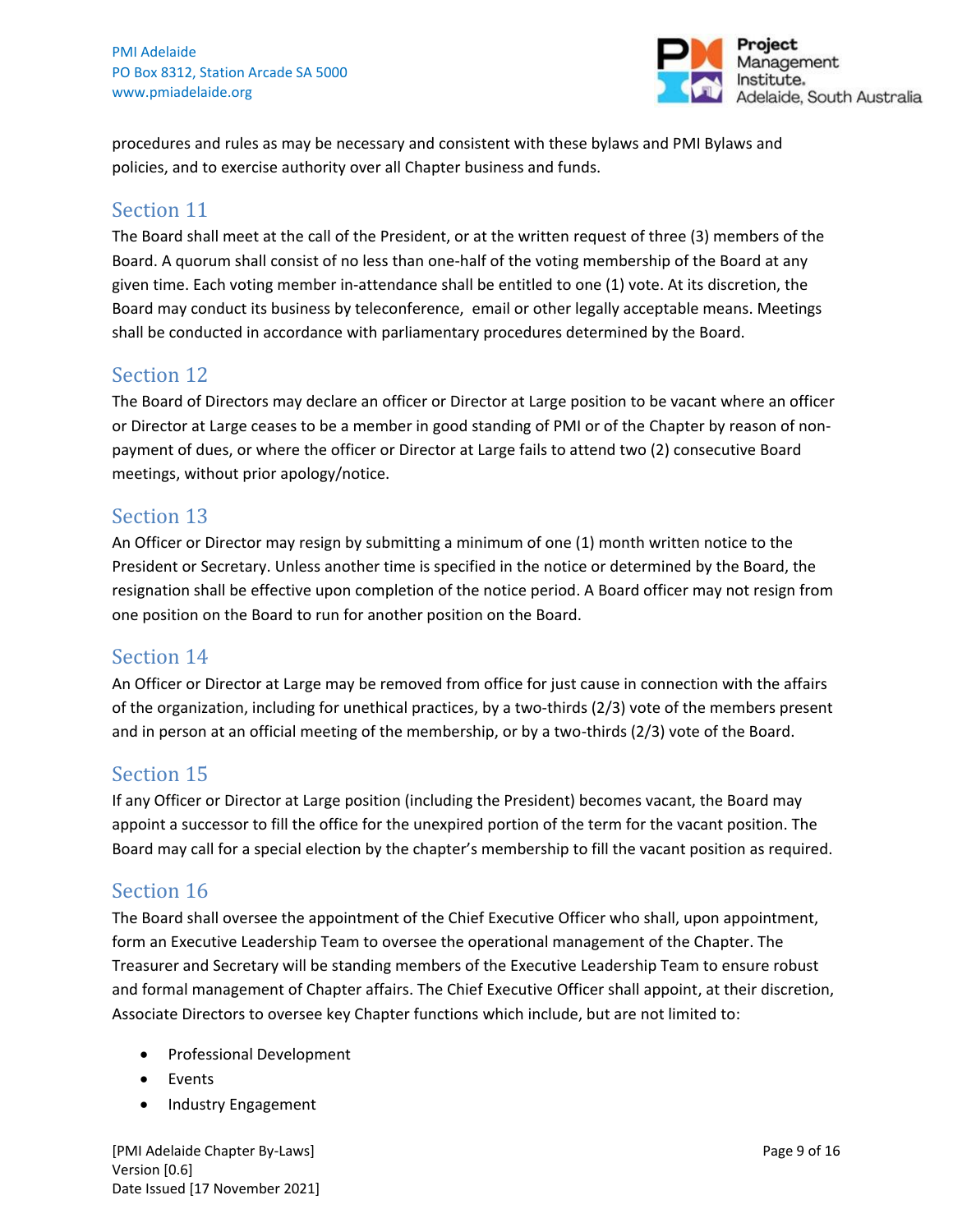

procedures and rules as may be necessary and consistent with these bylaws and PMI Bylaws and policies, and to exercise authority over all Chapter business and funds.

## Section 11

The Board shall meet at the call of the President, or at the written request of three (3) members of the Board. A quorum shall consist of no less than one-half of the voting membership of the Board at any given time. Each voting member in-attendance shall be entitled to one (1) vote. At its discretion, the Board may conduct its business by teleconference, email or other legally acceptable means. Meetings shall be conducted in accordance with parliamentary procedures determined by the Board.

## Section 12

The Board of Directors may declare an officer or Director at Large position to be vacant where an officer or Director at Large ceases to be a member in good standing of PMI or of the Chapter by reason of nonpayment of dues, or where the officer or Director at Large fails to attend two (2) consecutive Board meetings, without prior apology/notice.

## Section 13

An Officer or Director may resign by submitting a minimum of one (1) month written notice to the President or Secretary. Unless another time is specified in the notice or determined by the Board, the resignation shall be effective upon completion of the notice period. A Board officer may not resign from one position on the Board to run for another position on the Board.

## Section 14

An Officer or Director at Large may be removed from office for just cause in connection with the affairs of the organization, including for unethical practices, by a two-thirds (2/3) vote of the members present and in person at an official meeting of the membership, or by a two-thirds (2/3) vote of the Board.

## Section 15

If any Officer or Director at Large position (including the President) becomes vacant, the Board may appoint a successor to fill the office for the unexpired portion of the term for the vacant position. The Board may call for a special election by the chapter's membership to fill the vacant position as required.

## Section 16

The Board shall oversee the appointment of the Chief Executive Officer who shall, upon appointment, form an Executive Leadership Team to oversee the operational management of the Chapter. The Treasurer and Secretary will be standing members of the Executive Leadership Team to ensure robust and formal management of Chapter affairs. The Chief Executive Officer shall appoint, at their discretion, Associate Directors to oversee key Chapter functions which include, but are not limited to:

- Professional Development
- Events
- Industry Engagement

[PMI Adelaide Chapter By-Laws] Page 9 of 16 Version [0.6] Date Issued [17 November 2021]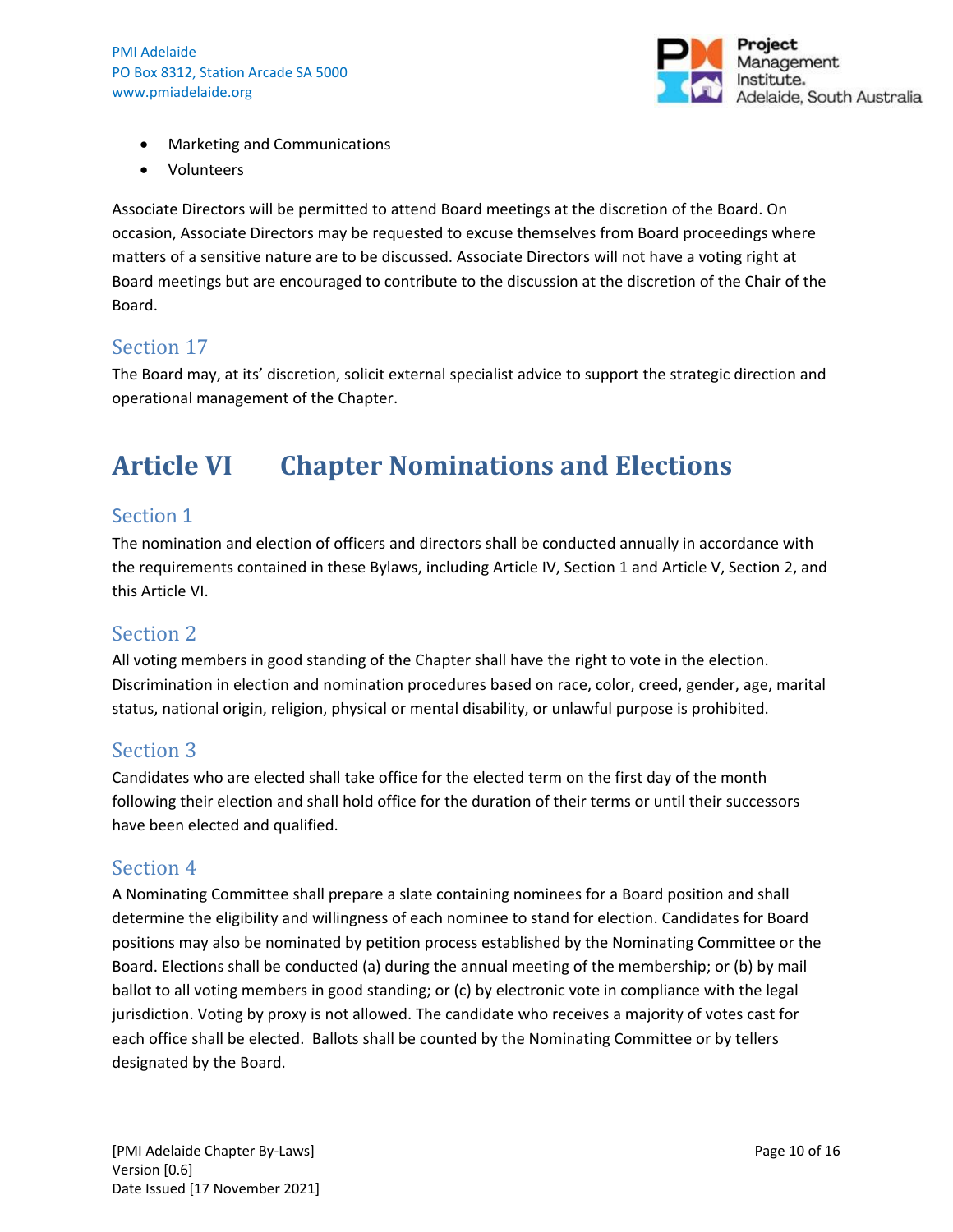

- Marketing and Communications
- Volunteers

Associate Directors will be permitted to attend Board meetings at the discretion of the Board. On occasion, Associate Directors may be requested to excuse themselves from Board proceedings where matters of a sensitive nature are to be discussed. Associate Directors will not have a voting right at Board meetings but are encouraged to contribute to the discussion at the discretion of the Chair of the Board.

## Section 17

The Board may, at its' discretion, solicit external specialist advice to support the strategic direction and operational management of the Chapter.

## <span id="page-9-0"></span>**Article VI Chapter Nominations and Elections**

#### Section 1

The nomination and election of officers and directors shall be conducted annually in accordance with the requirements contained in these Bylaws, including Article IV, Section 1 and Article V, Section 2, and this Article VI.

#### Section 2

All voting members in good standing of the Chapter shall have the right to vote in the election. Discrimination in election and nomination procedures based on race, color, creed, gender, age, marital status, national origin, religion, physical or mental disability, or unlawful purpose is prohibited.

## Section 3

Candidates who are elected shall take office for the elected term on the first day of the month following their election and shall hold office for the duration of their terms or until their successors have been elected and qualified.

#### Section 4

A Nominating Committee shall prepare a slate containing nominees for a Board position and shall determine the eligibility and willingness of each nominee to stand for election. Candidates for Board positions may also be nominated by petition process established by the Nominating Committee or the Board. Elections shall be conducted (a) during the annual meeting of the membership; or (b) by mail ballot to all voting members in good standing; or (c) by electronic vote in compliance with the legal jurisdiction. Voting by proxy is not allowed. The candidate who receives a majority of votes cast for each office shall be elected. Ballots shall be counted by the Nominating Committee or by tellers designated by the Board.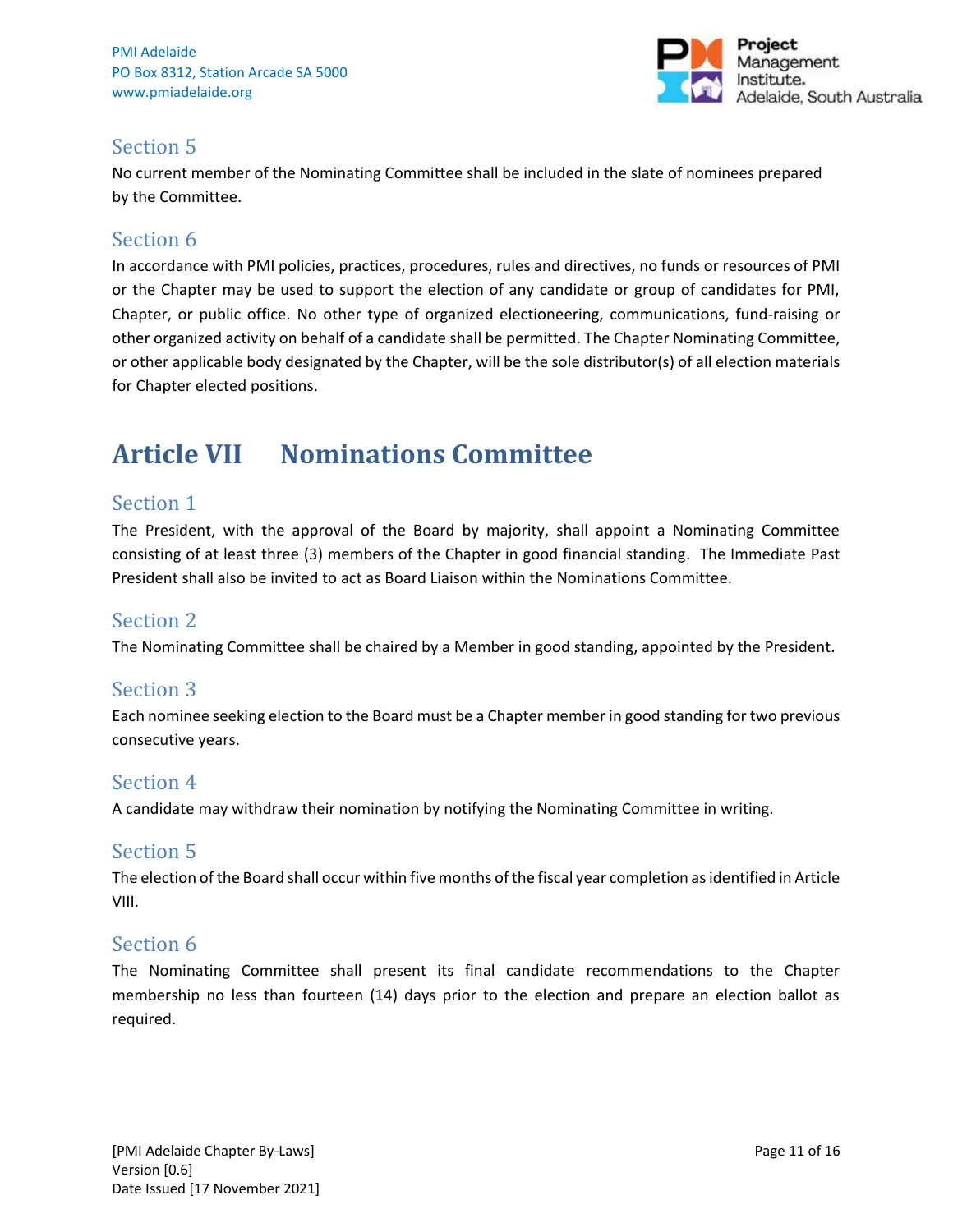

## Section 5

No current member of the Nominating Committee shall be included in the slate of nominees prepared by the Committee.

## Section 6

In accordance with PMI policies, practices, procedures, rules and directives, no funds or resources of PMI or the Chapter may be used to support the election of any candidate or group of candidates for PMI, Chapter, or public office. No other type of organized electioneering, communications, fund-raising or other organized activity on behalf of a candidate shall be permitted. The Chapter Nominating Committee, or other applicable body designated by the Chapter, will be the sole distributor(s) of all election materials for Chapter elected positions.

## <span id="page-10-0"></span>**Article VII Nominations Committee**

## Section 1

The President, with the approval of the Board by majority, shall appoint a Nominating Committee consisting of at least three (3) members of the Chapter in good financial standing. The Immediate Past President shall also be invited to act as Board Liaison within the Nominations Committee.

#### Section 2

The Nominating Committee shall be chaired by a Member in good standing, appointed by the President.

## Section 3

Each nominee seeking election to the Board must be a Chapter member in good standing for two previous consecutive years.

## Section 4

A candidate may withdraw their nomination by notifying the Nominating Committee in writing.

#### Section 5

The election of the Board shall occur within five months of the fiscal year completion as identified in Article VIII.

## Section 6

The Nominating Committee shall present its final candidate recommendations to the Chapter membership no less than fourteen (14) days prior to the election and prepare an election ballot as required.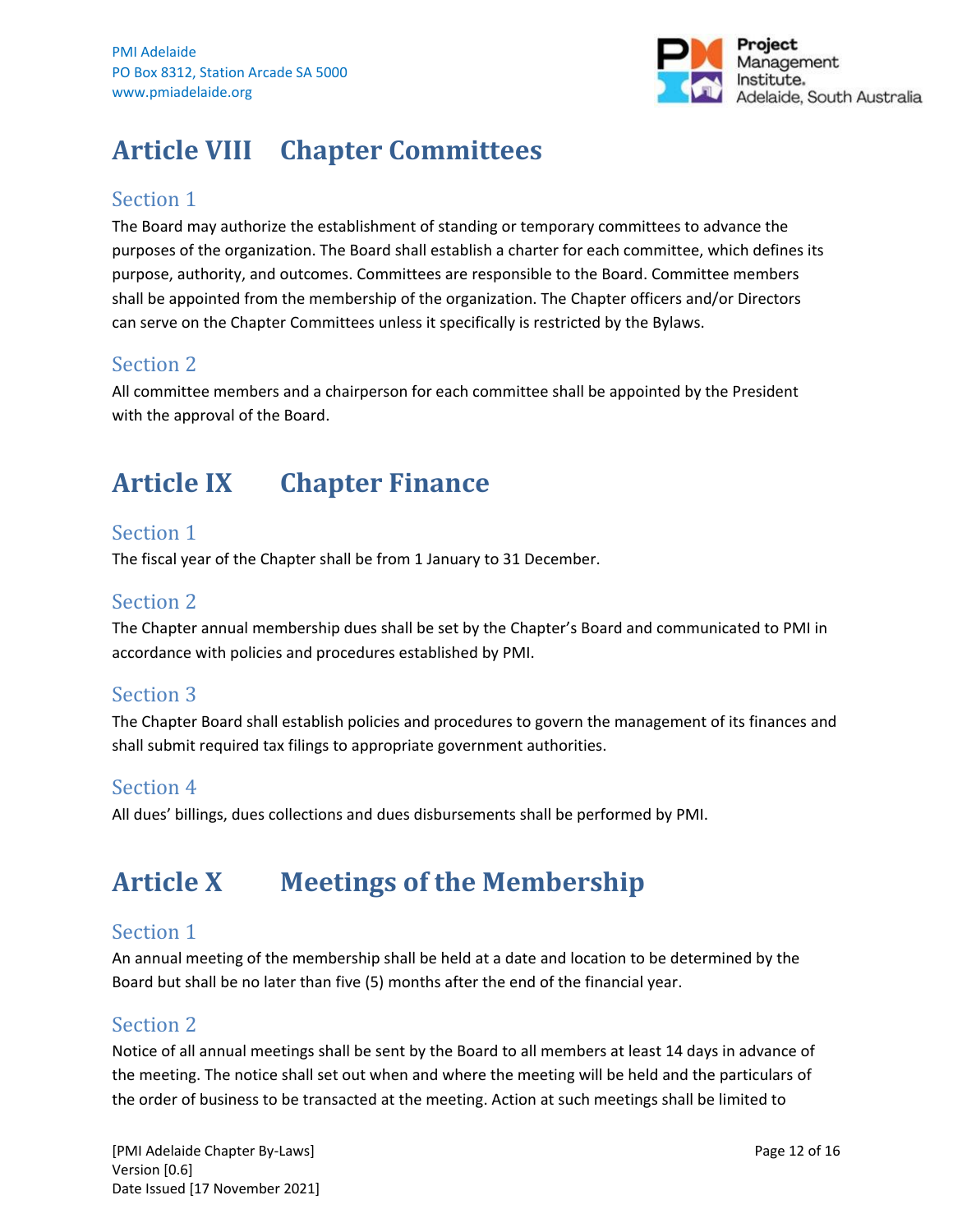

## <span id="page-11-0"></span>**Article VIII Chapter Committees**

## Section 1

The Board may authorize the establishment of standing or temporary committees to advance the purposes of the organization. The Board shall establish a charter for each committee, which defines its purpose, authority, and outcomes. Committees are responsible to the Board. Committee members shall be appointed from the membership of the organization. The Chapter officers and/or Directors can serve on the Chapter Committees unless it specifically is restricted by the Bylaws.

## Section 2

All committee members and a chairperson for each committee shall be appointed by the President with the approval of the Board.

## <span id="page-11-1"></span>**Article IX Chapter Finance**

## Section 1

The fiscal year of the Chapter shall be from 1 January to 31 December.

## Section 2

The Chapter annual membership dues shall be set by the Chapter's Board and communicated to PMI in accordance with policies and procedures established by PMI.

## Section 3

The Chapter Board shall establish policies and procedures to govern the management of its finances and shall submit required tax filings to appropriate government authorities.

## Section 4

All dues' billings, dues collections and dues disbursements shall be performed by PMI.

## <span id="page-11-2"></span>**Article X Meetings of the Membership**

## Section 1

An annual meeting of the membership shall be held at a date and location to be determined by the Board but shall be no later than five (5) months after the end of the financial year.

## Section 2

Notice of all annual meetings shall be sent by the Board to all members at least 14 days in advance of the meeting. The notice shall set out when and where the meeting will be held and the particulars of the order of business to be transacted at the meeting. Action at such meetings shall be limited to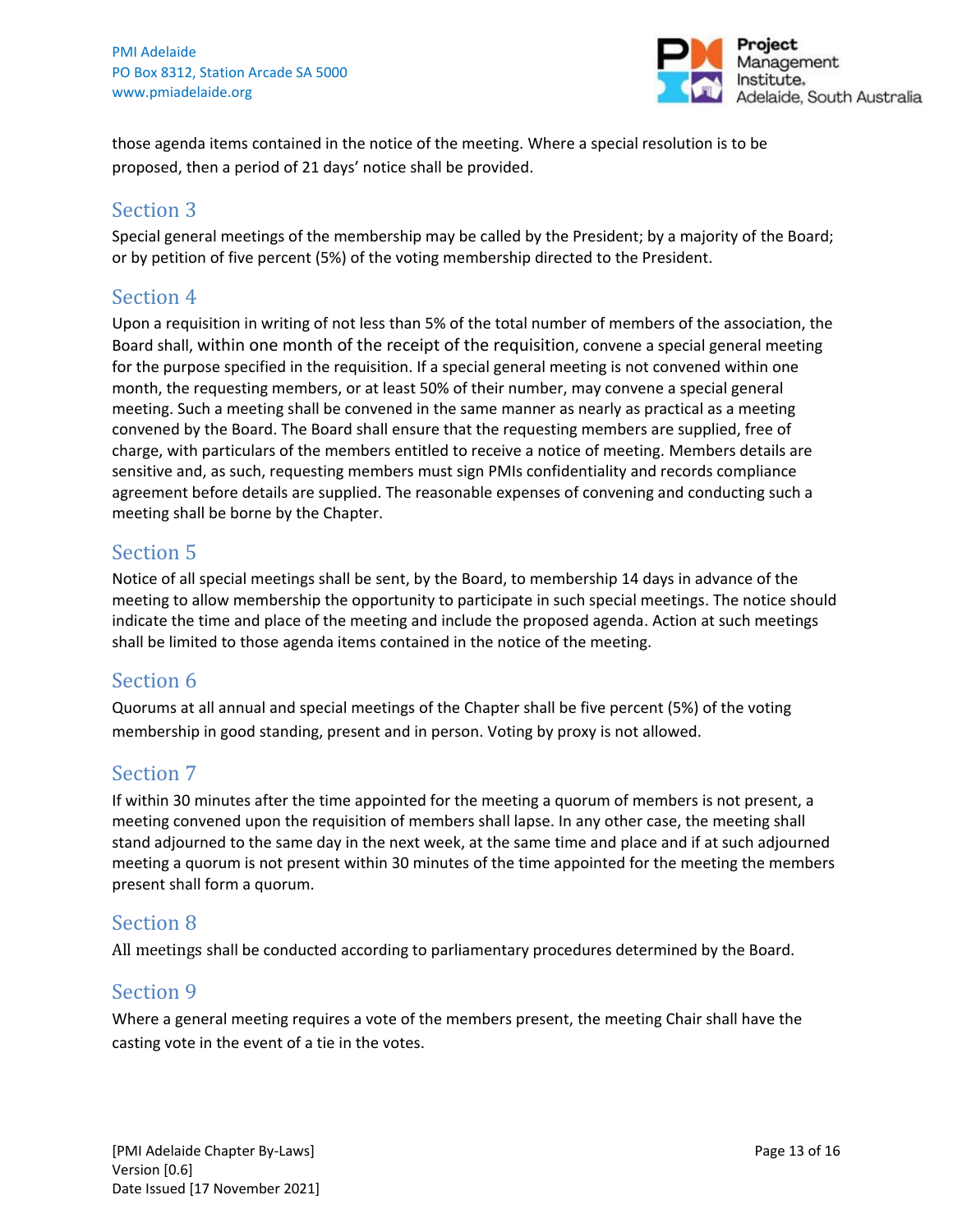

those agenda items contained in the notice of the meeting. Where a special resolution is to be proposed, then a period of 21 days' notice shall be provided.

#### Section 3

Special general meetings of the membership may be called by the President; by a majority of the Board; or by petition of five percent (5%) of the voting membership directed to the President.

## Section 4

Upon a requisition in writing of not less than 5% of the total number of members of the association, the Board shall, within one month of the receipt of the requisition, convene a special general meeting for the purpose specified in the requisition. If a special general meeting is not convened within one month, the requesting members, or at least 50% of their number, may convene a special general meeting. Such a meeting shall be convened in the same manner as nearly as practical as a meeting convened by the Board. The Board shall ensure that the requesting members are supplied, free of charge, with particulars of the members entitled to receive a notice of meeting. Members details are sensitive and, as such, requesting members must sign PMIs confidentiality and records compliance agreement before details are supplied. The reasonable expenses of convening and conducting such a meeting shall be borne by the Chapter.

## Section 5

Notice of all special meetings shall be sent, by the Board, to membership 14 days in advance of the meeting to allow membership the opportunity to participate in such special meetings. The notice should indicate the time and place of the meeting and include the proposed agenda. Action at such meetings shall be limited to those agenda items contained in the notice of the meeting.

## Section 6

Quorums at all annual and special meetings of the Chapter shall be five percent (5%) of the voting membership in good standing, present and in person. Voting by proxy is not allowed.

## Section 7

If within 30 minutes after the time appointed for the meeting a quorum of members is not present, a meeting convened upon the requisition of members shall lapse. In any other case, the meeting shall stand adjourned to the same day in the next week, at the same time and place and if at such adjourned meeting a quorum is not present within 30 minutes of the time appointed for the meeting the members present shall form a quorum.

## Section 8

All meetings shall be conducted according to parliamentary procedures determined by the Board.

## Section 9

Where a general meeting requires a vote of the members present, the meeting Chair shall have the casting vote in the event of a tie in the votes.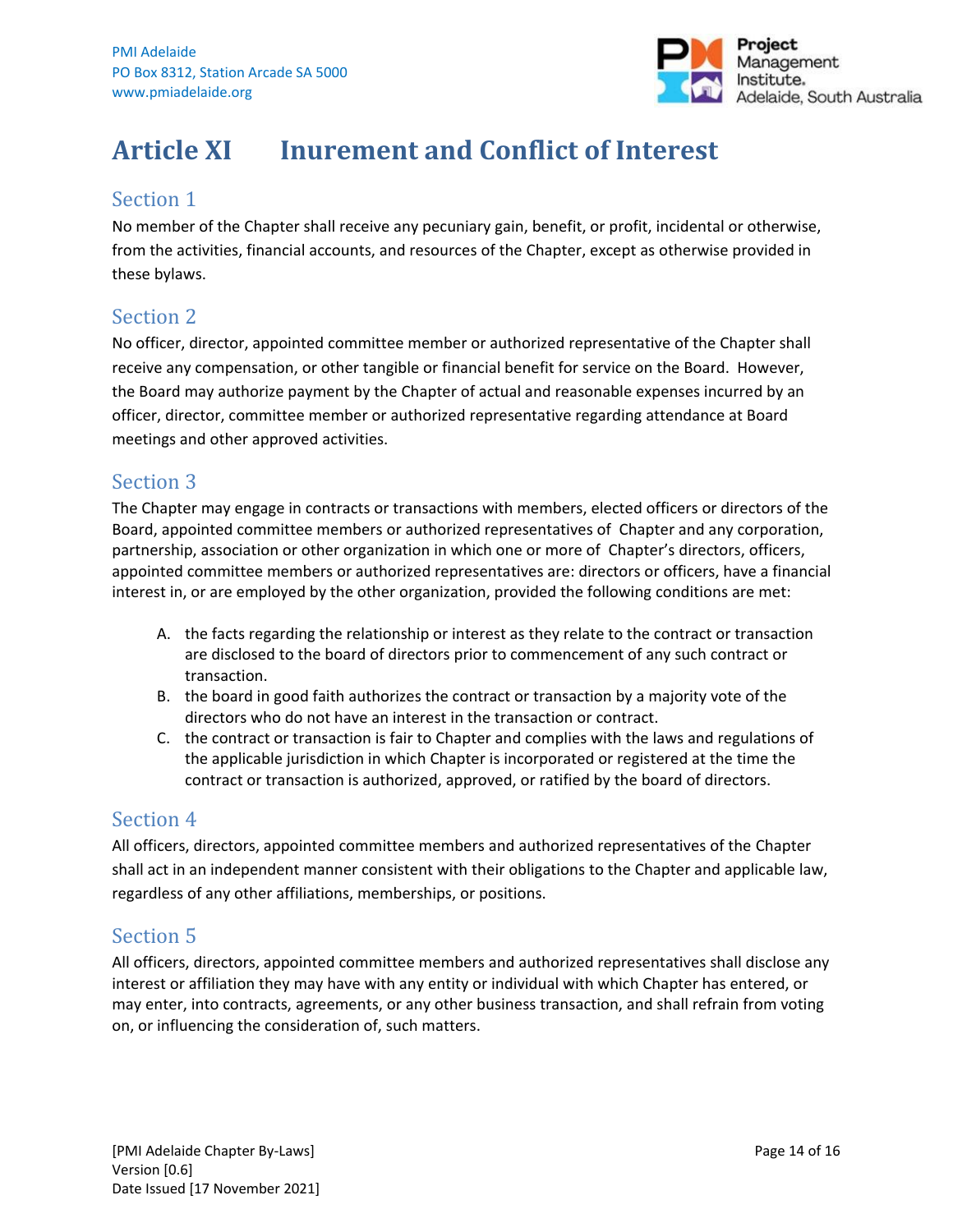

## <span id="page-13-0"></span>**Article XI Inurement and Conflict of Interest**

## Section 1

No member of the Chapter shall receive any pecuniary gain, benefit, or profit, incidental or otherwise, from the activities, financial accounts, and resources of the Chapter, except as otherwise provided in these bylaws.

## Section 2

No officer, director, appointed committee member or authorized representative of the Chapter shall receive any compensation, or other tangible or financial benefit for service on the Board. However, the Board may authorize payment by the Chapter of actual and reasonable expenses incurred by an officer, director, committee member or authorized representative regarding attendance at Board meetings and other approved activities.

## Section 3

The Chapter may engage in contracts or transactions with members, elected officers or directors of the Board, appointed committee members or authorized representatives of Chapter and any corporation, partnership, association or other organization in which one or more of Chapter's directors, officers, appointed committee members or authorized representatives are: directors or officers, have a financial interest in, or are employed by the other organization, provided the following conditions are met:

- A. the facts regarding the relationship or interest as they relate to the contract or transaction are disclosed to the board of directors prior to commencement of any such contract or transaction.
- B. the board in good faith authorizes the contract or transaction by a majority vote of the directors who do not have an interest in the transaction or contract.
- C. the contract or transaction is fair to Chapter and complies with the laws and regulations of the applicable jurisdiction in which Chapter is incorporated or registered at the time the contract or transaction is authorized, approved, or ratified by the board of directors.

## Section 4

All officers, directors, appointed committee members and authorized representatives of the Chapter shall act in an independent manner consistent with their obligations to the Chapter and applicable law, regardless of any other affiliations, memberships, or positions.

## Section 5

All officers, directors, appointed committee members and authorized representatives shall disclose any interest or affiliation they may have with any entity or individual with which Chapter has entered, or may enter, into contracts, agreements, or any other business transaction, and shall refrain from voting on, or influencing the consideration of, such matters.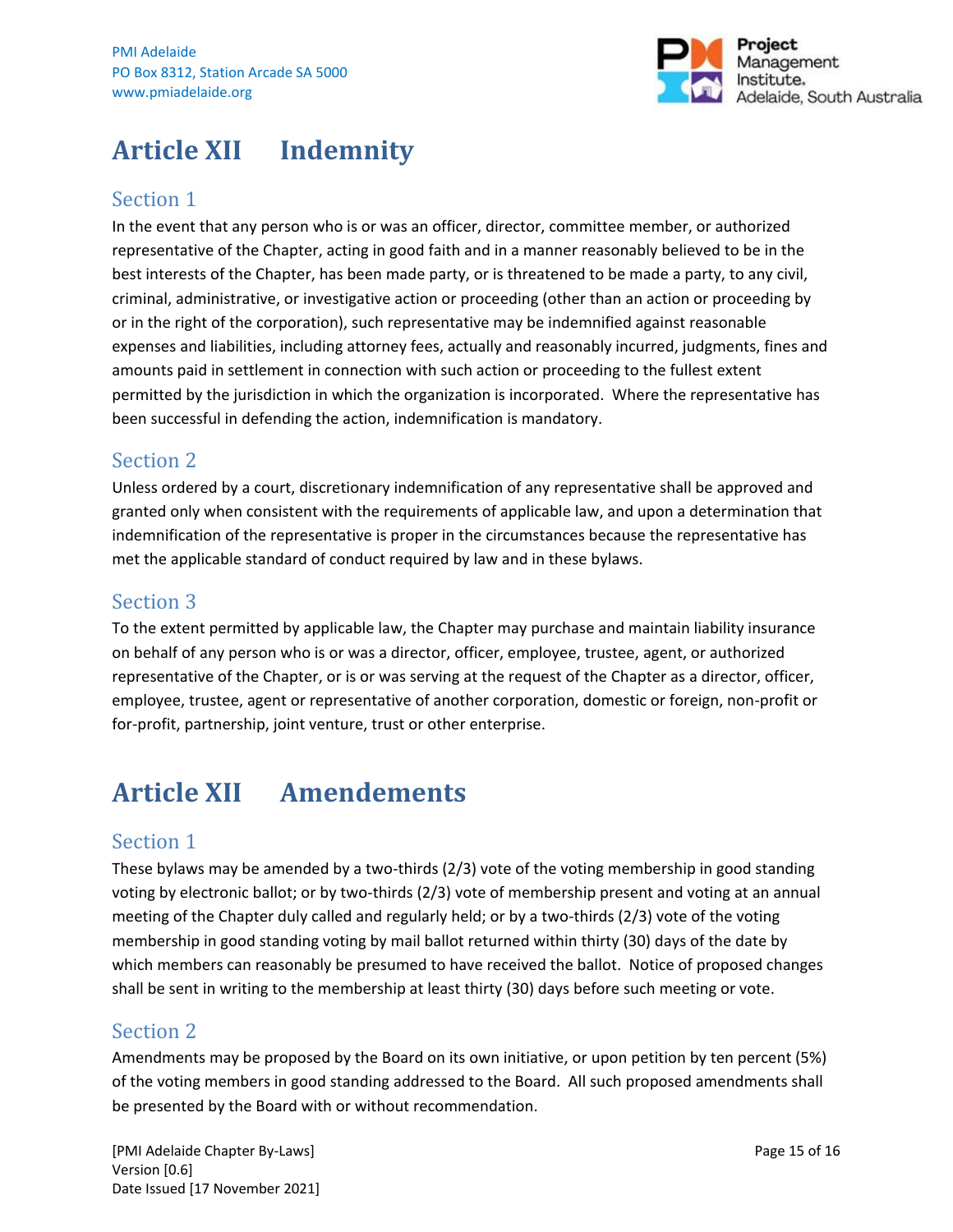

## <span id="page-14-0"></span>**Article XII Indemnity**

## Section 1

In the event that any person who is or was an officer, director, committee member, or authorized representative of the Chapter, acting in good faith and in a manner reasonably believed to be in the best interests of the Chapter, has been made party, or is threatened to be made a party, to any civil, criminal, administrative, or investigative action or proceeding (other than an action or proceeding by or in the right of the corporation), such representative may be indemnified against reasonable expenses and liabilities, including attorney fees, actually and reasonably incurred, judgments, fines and amounts paid in settlement in connection with such action or proceeding to the fullest extent permitted by the jurisdiction in which the organization is incorporated. Where the representative has been successful in defending the action, indemnification is mandatory.

## Section 2

Unless ordered by a court, discretionary indemnification of any representative shall be approved and granted only when consistent with the requirements of applicable law, and upon a determination that indemnification of the representative is proper in the circumstances because the representative has met the applicable standard of conduct required by law and in these bylaws.

## Section 3

To the extent permitted by applicable law, the Chapter may purchase and maintain liability insurance on behalf of any person who is or was a director, officer, employee, trustee, agent, or authorized representative of the Chapter, or is or was serving at the request of the Chapter as a director, officer, employee, trustee, agent or representative of another corporation, domestic or foreign, non-profit or for-profit, partnership, joint venture, trust or other enterprise.

## <span id="page-14-1"></span>**Article XII Amendements**

## Section 1

These bylaws may be amended by a two-thirds (2/3) vote of the voting membership in good standing voting by electronic ballot; or by two-thirds (2/3) vote of membership present and voting at an annual meeting of the Chapter duly called and regularly held; or by a two-thirds (2/3) vote of the voting membership in good standing voting by mail ballot returned within thirty (30) days of the date by which members can reasonably be presumed to have received the ballot. Notice of proposed changes shall be sent in writing to the membership at least thirty (30) days before such meeting or vote.

## Section 2

Amendments may be proposed by the Board on its own initiative, or upon petition by ten percent (5%) of the voting members in good standing addressed to the Board. All such proposed amendments shall be presented by the Board with or without recommendation.